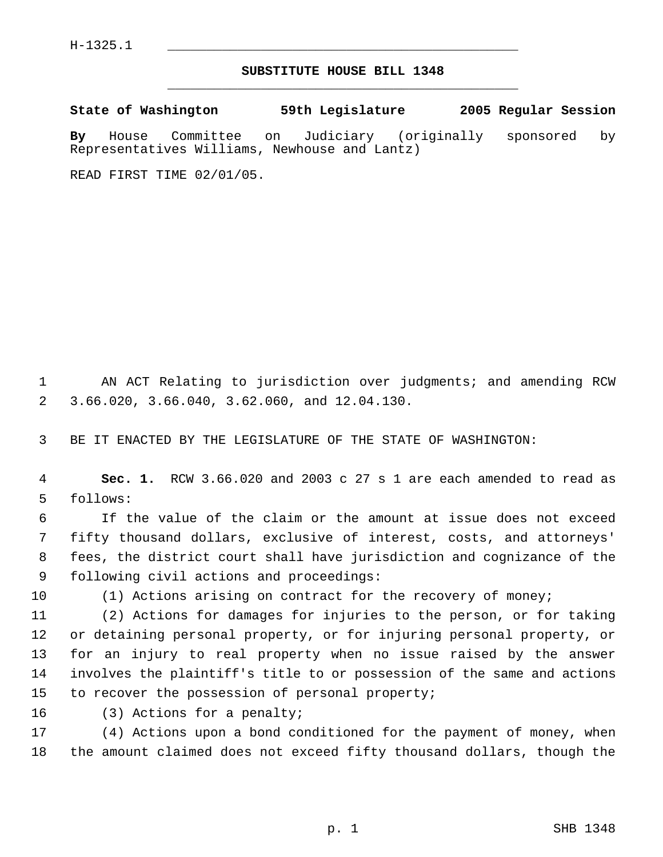## **SUBSTITUTE HOUSE BILL 1348** \_\_\_\_\_\_\_\_\_\_\_\_\_\_\_\_\_\_\_\_\_\_\_\_\_\_\_\_\_\_\_\_\_\_\_\_\_\_\_\_\_\_\_\_\_

**State of Washington 59th Legislature 2005 Regular Session By** House Committee on Judiciary (originally sponsored by

READ FIRST TIME 02/01/05.

Representatives Williams, Newhouse and Lantz)

 AN ACT Relating to jurisdiction over judgments; and amending RCW 3.66.020, 3.66.040, 3.62.060, and 12.04.130.

BE IT ENACTED BY THE LEGISLATURE OF THE STATE OF WASHINGTON:

 **Sec. 1.** RCW 3.66.020 and 2003 c 27 s 1 are each amended to read as follows:

 If the value of the claim or the amount at issue does not exceed fifty thousand dollars, exclusive of interest, costs, and attorneys' fees, the district court shall have jurisdiction and cognizance of the following civil actions and proceedings:

10 (1) Actions arising on contract for the recovery of money;

 (2) Actions for damages for injuries to the person, or for taking or detaining personal property, or for injuring personal property, or for an injury to real property when no issue raised by the answer involves the plaintiff's title to or possession of the same and actions to recover the possession of personal property;

(3) Actions for a penalty;

 (4) Actions upon a bond conditioned for the payment of money, when the amount claimed does not exceed fifty thousand dollars, though the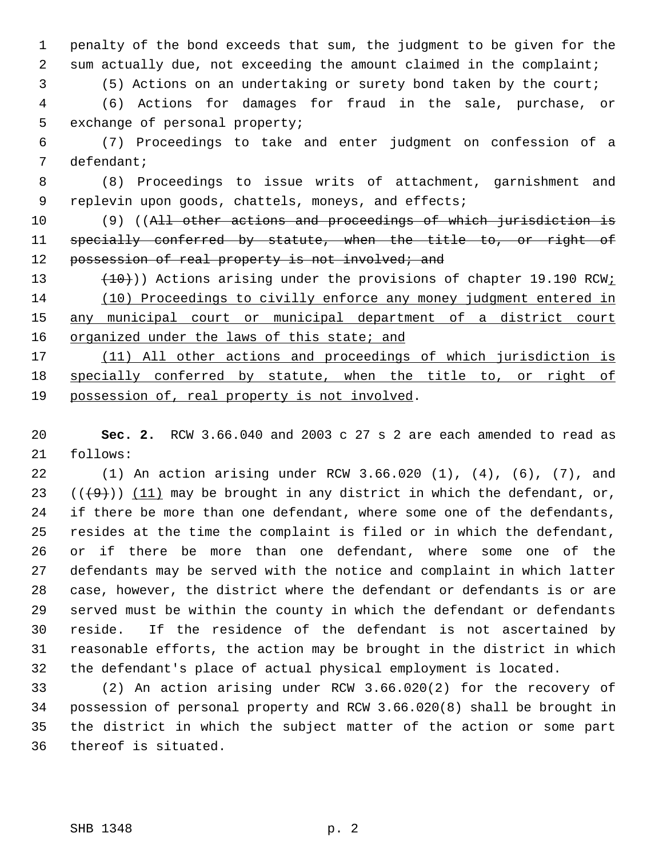penalty of the bond exceeds that sum, the judgment to be given for the sum actually due, not exceeding the amount claimed in the complaint;

(5) Actions on an undertaking or surety bond taken by the court;

 (6) Actions for damages for fraud in the sale, purchase, or exchange of personal property;

 (7) Proceedings to take and enter judgment on confession of a defendant;

 (8) Proceedings to issue writs of attachment, garnishment and replevin upon goods, chattels, moneys, and effects;

10 (9) ((All other actions and proceedings of which jurisdiction is 11 specially conferred by statute, when the title to, or right of 12 possession of real property is not involved; and

13 (10)) Actions arising under the provisions of chapter 19.190 RCW; (10) Proceedings to civilly enforce any money judgment entered in any municipal court or municipal department of a district court 16 organized under the laws of this state; and

 (11) All other actions and proceedings of which jurisdiction is 18 specially conferred by statute, when the title to, or right of 19 possession of, real property is not involved.

 **Sec. 2.** RCW 3.66.040 and 2003 c 27 s 2 are each amended to read as follows:

 (1) An action arising under RCW 3.66.020 (1), (4), (6), (7), and  $((+9))$   $(11)$  may be brought in any district in which the defendant, or, 24 if there be more than one defendant, where some one of the defendants, resides at the time the complaint is filed or in which the defendant, or if there be more than one defendant, where some one of the defendants may be served with the notice and complaint in which latter case, however, the district where the defendant or defendants is or are served must be within the county in which the defendant or defendants reside. If the residence of the defendant is not ascertained by reasonable efforts, the action may be brought in the district in which the defendant's place of actual physical employment is located.

 (2) An action arising under RCW 3.66.020(2) for the recovery of possession of personal property and RCW 3.66.020(8) shall be brought in the district in which the subject matter of the action or some part thereof is situated.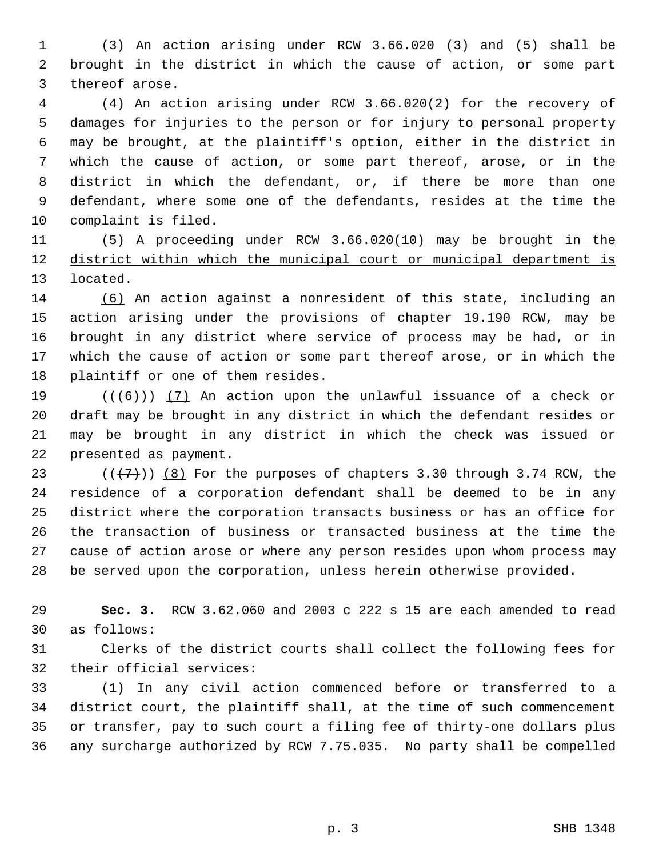(3) An action arising under RCW 3.66.020 (3) and (5) shall be brought in the district in which the cause of action, or some part thereof arose.

 (4) An action arising under RCW 3.66.020(2) for the recovery of damages for injuries to the person or for injury to personal property may be brought, at the plaintiff's option, either in the district in which the cause of action, or some part thereof, arose, or in the district in which the defendant, or, if there be more than one defendant, where some one of the defendants, resides at the time the complaint is filed.

 (5) A proceeding under RCW 3.66.020(10) may be brought in the district within which the municipal court or municipal department is located.

 (6) An action against a nonresident of this state, including an action arising under the provisions of chapter 19.190 RCW, may be brought in any district where service of process may be had, or in which the cause of action or some part thereof arose, or in which the plaintiff or one of them resides.

 $((\langle 6 \rangle) )$  (7) An action upon the unlawful issuance of a check or draft may be brought in any district in which the defendant resides or may be brought in any district in which the check was issued or presented as payment.

23 ( $(\overline{\{7\}})$ ) (8) For the purposes of chapters 3.30 through 3.74 RCW, the residence of a corporation defendant shall be deemed to be in any district where the corporation transacts business or has an office for the transaction of business or transacted business at the time the cause of action arose or where any person resides upon whom process may be served upon the corporation, unless herein otherwise provided.

 **Sec. 3.** RCW 3.62.060 and 2003 c 222 s 15 are each amended to read as follows:

 Clerks of the district courts shall collect the following fees for their official services:

 (1) In any civil action commenced before or transferred to a district court, the plaintiff shall, at the time of such commencement or transfer, pay to such court a filing fee of thirty-one dollars plus any surcharge authorized by RCW 7.75.035. No party shall be compelled